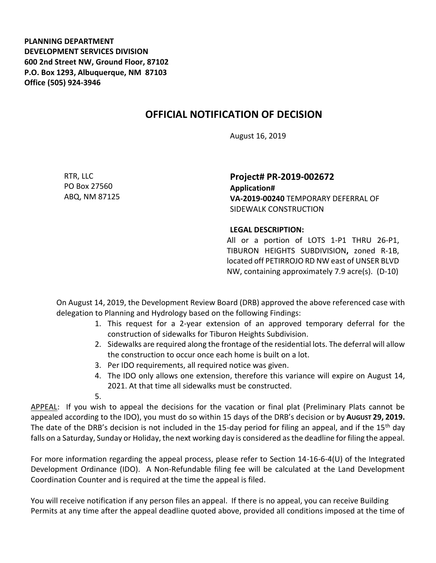**PLANNING DEPARTMENT DEVELOPMENT SERVICES DIVISION 600 2nd Street NW, Ground Floor, 87102 P.O. Box 1293, Albuquerque, NM 87103 Office (505) 924-3946** 

## **OFFICIAL NOTIFICATION OF DECISION**

August 16, 2019

RTR, LLC PO Box 27560 ABQ, NM 87125 **Project# PR-2019-002672 Application# VA-2019-00240** TEMPORARY DEFERRAL OF SIDEWALK CONSTRUCTION

## **LEGAL DESCRIPTION:**

All or a portion of LOTS 1-P1 THRU 26-P1, TIBURON HEIGHTS SUBDIVISION**,** zoned R-1B, located off PETIRROJO RD NW east of UNSER BLVD NW, containing approximately 7.9 acre(s). (D-10)

On August 14, 2019, the Development Review Board (DRB) approved the above referenced case with delegation to Planning and Hydrology based on the following Findings:

- 1. This request for a 2-year extension of an approved temporary deferral for the construction of sidewalks for Tiburon Heights Subdivision.
- 2. Sidewalks are required along the frontage of the residential lots. The deferral will allow the construction to occur once each home is built on a lot.
- 3. Per IDO requirements, all required notice was given.
- 4. The IDO only allows one extension, therefore this variance will expire on August 14, 2021. At that time all sidewalks must be constructed.

5.

APPEAL: If you wish to appeal the decisions for the vacation or final plat (Preliminary Plats cannot be appealed according to the IDO), you must do so within 15 days of the DRB's decision or by **AUGUST 29, 2019.**  The date of the DRB's decision is not included in the 15-day period for filing an appeal, and if the 15<sup>th</sup> day falls on a Saturday, Sunday or Holiday, the next working day is considered as the deadline for filing the appeal.

For more information regarding the appeal process, please refer to Section 14-16-6-4(U) of the Integrated Development Ordinance (IDO). A Non-Refundable filing fee will be calculated at the Land Development Coordination Counter and is required at the time the appeal is filed.

You will receive notification if any person files an appeal. If there is no appeal, you can receive Building Permits at any time after the appeal deadline quoted above, provided all conditions imposed at the time of